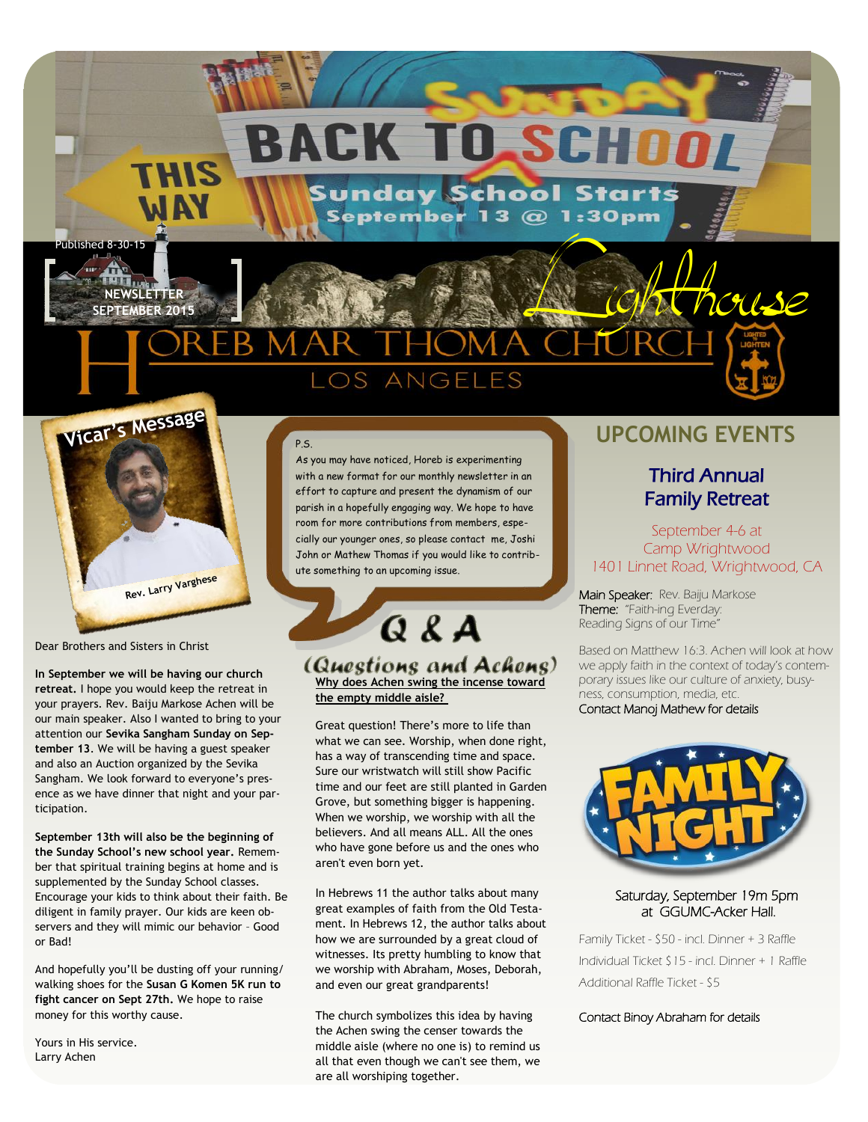## CK TO SCHOO H

**Sunday School Starts** September 13 @ 1:30pm

## Published 8-30-15<br>NEWSLETTER<br>SEPTEMBER 2015  $OS$ ANGELES



**NEWSLETTER**

Dear Brothers and Sisters in Christ

**In September we will be having our church retreat.** I hope you would keep the retreat in your prayers. Rev. Baiju Markose Achen will be our main speaker. Also I wanted to bring to your attention our **Sevika Sangham Sunday on September 13**. We will be having a guest speaker and also an Auction organized by the Sevika Sangham. We look forward to everyone's presence as we have dinner that night and your participation.

**September 13th will also be the beginning of the Sunday School's new school year.** Remember that spiritual training begins at home and is supplemented by the Sunday School classes. Encourage your kids to think about their faith. Be diligent in family prayer. Our kids are keen observers and they will mimic our behavior – Good or Bad!

And hopefully you'll be dusting off your running/ walking shoes for the **Susan G Komen 5K run to fight cancer on Sept 27th.** We hope to raise money for this worthy cause.

Yours in His service. Larry Achen

### P.S.

As you may have noticed, Horeb is experimenting with a new format for our monthly newsletter in an effort to capture and present the dynamism of our parish in a hopefully engaging way. We hope to have room for more contributions from members, especially our younger ones, so please contact me, Joshi John or Mathew Thomas if you would like to contribute something to an upcoming issue.

 $Q$   $g$   $A$ (Questions and Achens) **Why does Achen swing the incense toward the empty middle aisle?**

Great question! There's more to life than what we can see. Worship, when done right, has a way of transcending time and space. Sure our wristwatch will still show Pacific time and our feet are still planted in Garden Grove, but something bigger is happening. When we worship, we worship with all the believers. And all means ALL. All the ones who have gone before us and the ones who aren't even born yet.

In Hebrews 11 the author talks about many great examples of faith from the Old Testament. In Hebrews 12, the author talks about how we are surrounded by a great cloud of witnesses. Its pretty humbling to know that we worship with Abraham, Moses, Deborah, and even our great grandparents!

The church symbolizes this idea by having the Achen swing the censer towards the middle aisle (where no one is) to remind us all that even though we can't see them, we are all worshiping together.

## **UPCOMING EVENTS**

### Third Annual Family Retreat

#### September 4-6 at Camp Wrightwood 1401 Linnet Road, Wrightwood, CA

Main Speaker: Rev. Baiju Markose Theme: "Faith-ing Everday: Reading Signs of our Time"

Based on Matthew 16:3. Achen will look at how we apply faith in the context of today's contemporary issues like our culture of anxiety, busyness, consumption, media, etc. Contact Manoj Mathew for details



#### Saturday, September 19m 5pm at GGUMC-Acker Hall.

Family Ticket - \$50 - incl. Dinner + 3 Raffle Individual Ticket \$15 - incl. Dinner + 1 Raffle Additional Raffle Ticket - \$5

Contact Binoy Abraham for details